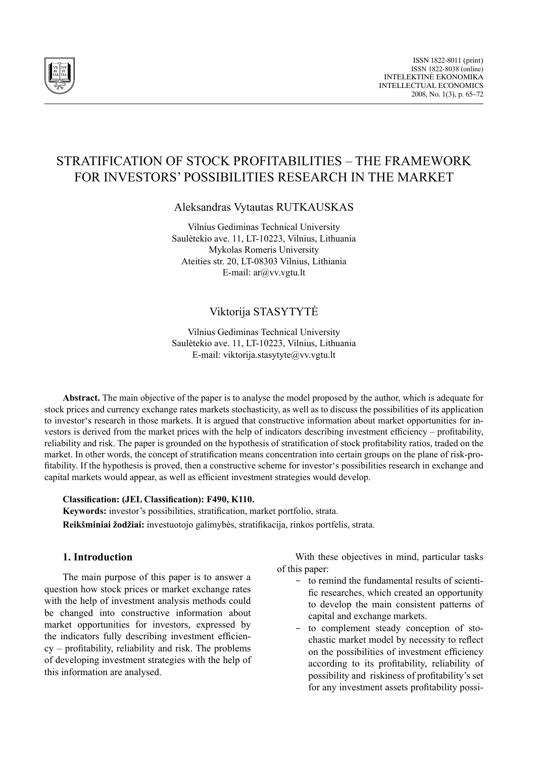

# STRATIFICATION OF STOCK PROFITABILITIES – THE FRAMEWORK FOR INVESTORS' POSSIBILITIES RESEARCH IN THE MARKET

Aleksandras Vytautas RUTKAUSKAS

Vilnius Gediminas Technical University Saulėtekio ave. 11, LT-10223, Vilnius, Lithuania Mykolas Romeris University Ateities str. 20, LT-08303 Vilnius, Lithiania E-mail: ar@vv.vgtu.lt

# Viktorija STASYTYTĖ

Vilnius Gediminas Technical University Saulėtekio ave. 11, LT-10223, Vilnius, Lithuania E-mail: viktorija.stasytyte@vv.vgtu.lt

**Abstract.** The main objective of the paper is to analyse the model proposed by the author, which is adequate for stock prices and currency exchange rates markets stochasticity, as well as to discuss the possibilities of its application to investor's research in those markets. It is argued that constructive information about market opportunities for investors is derived from the market prices with the help of indicators describing investment efficiency – profitability, reliability and risk. The paper is grounded on the hypothesis of stratification of stock profitability ratios, traded on the market. In other words, the concept of stratification means concentration into certain groups on the plane of risk-profitability. If the hypothesis is proved, then a constructive scheme for investor's possibilities research in exchange and capital markets would appear, as well as efficient investment strategies would develop.

### **Classification: (JEL Classification): F490, K110.**

**Keywords:** investor's possibilities, stratification, market portfolio, strata. **Reikšminiai žodžiai:** investuotojo galimybės, stratifikacija, rinkos portfelis, strata.

### **1. Introduction**

The main purpose of this paper is to answer a question how stock prices or market exchange rates with the help of investment analysis methods could be changed into constructive information about market opportunities for investors, expressed by the indicators fully describing investment efficiency – profitability, reliability and risk. The problems of developing investment strategies with the help of this information are analysed.

With these objectives in mind, particular tasks of this paper:

- - to remind the fundamental results of scientific researches, which created an opportunity to develop the main consistent patterns of capital and exchange markets.
- to complement steady conception of stochastic market model by necessity to reflect on the possibilities of investment efficiency according to its profitability, reliability of possibility and riskiness of profitability's set for any investment assets profitability possi-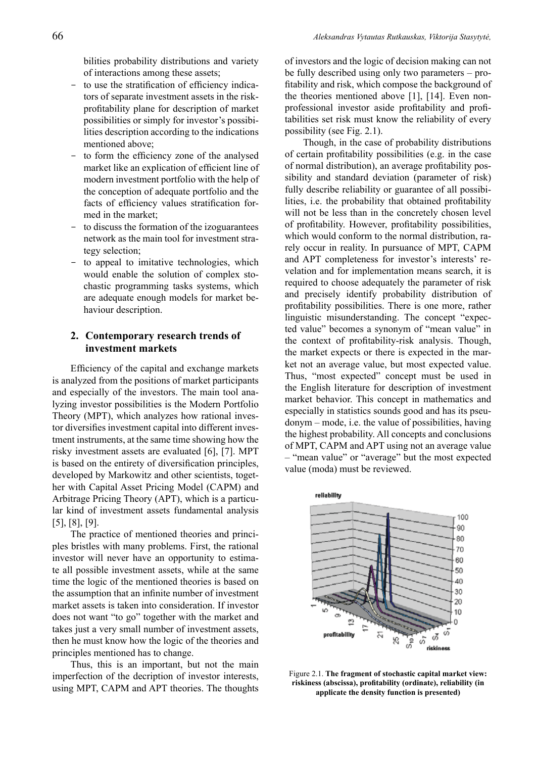bilities probability distributions and variety of interactions among these assets;

- to use the stratification of efficiency indicators of separate investment assets in the riskprofitability plane for description of market possibilities or simply for investor's possibilities description according to the indications mentioned above;
- to form the efficiency zone of the analysed market like an explication of efficient line of modern investment portfolio with the help of the conception of adequate portfolio and the facts of efficiency values stratification formed in the market;
- to discuss the formation of the izoguarantees network as the main tool for investment strategy selection;
- to appeal to imitative technologies, which would enable the solution of complex stochastic programming tasks systems, which are adequate enough models for market behaviour description.

## **2. Contemporary research trends of investment markets**

Efficiency of the capital and exchange markets is analyzed from the positions of market participants and especially of the investors. The main tool analyzing investor possibilities is the Modern Portfolio Theory (MPT), which analyzes how rational investor diversifies investment capital into different investment instruments, at the same time showing how the risky investment assets are evaluated [6], [7]. MPT is based on the entirety of diversification principles, developed by Markowitz and other scientists, together with Capital Asset Pricing Model (CAPM) and Arbitrage Pricing Theory (APT), which is a particular kind of investment assets fundamental analysis [5], [8], [9].

The practice of mentioned theories and principles bristles with many problems. First, the rational investor will never have an opportunity to estimate all possible investment assets, while at the same time the logic of the mentioned theories is based on the assumption that an infinite number of investment market assets is taken into consideration. If investor does not want "to go" together with the market and takes just a very small number of investment assets, then he must know how the logic of the theories and principles mentioned has to change.

Thus, this is an important, but not the main imperfection of the decription of investor interests, using MPT, CAPM and APT theories. The thoughts of investors and the logic of decision making can not be fully described using only two parameters – profitability and risk, which compose the background of the theories mentioned above [1], [14]. Even nonprofessional investor aside profitability and profitabilities set risk must know the reliability of every possibility (see Fig. 2.1).

Though, in the case of probability distributions of certain profitability possibilities (e.g. in the case of normal distribution), an average profitability possibility and standard deviation (parameter of risk) fully describe reliability or guarantee of all possibilities, i.e. the probability that obtained profitability will not be less than in the concretely chosen level of profitability. However, profitability possibilities, which would conform to the normal distribution, rarely occur in reality. In pursuance of MPT, CAPM and APT completeness for investor's interests' revelation and for implementation means search, it is required to choose adequately the parameter of risk and precisely identify probability distribution of profitability possibilities. There is one more, rather linguistic misunderstanding. The concept "expected value" becomes a synonym of "mean value" in the context of profitability-risk analysis. Though, the market expects or there is expected in the market not an average value, but most expected value. Thus, "most expected" concept must be used in the English literature for description of investment market behavior. This concept in mathematics and especially in statistics sounds good and has its pseudonym – mode, i.e. the value of possibilities, having the highest probability. All concepts and conclusions of MPT, CAPM and APT using not an average value – "mean value" or "average" but the most expected value (moda) must be reviewed.



Figure 2.1. **The fragment of stochastic capital market view: riskiness (abscissa), profitability (ordinate), reliability (in applicate the density function is presented)**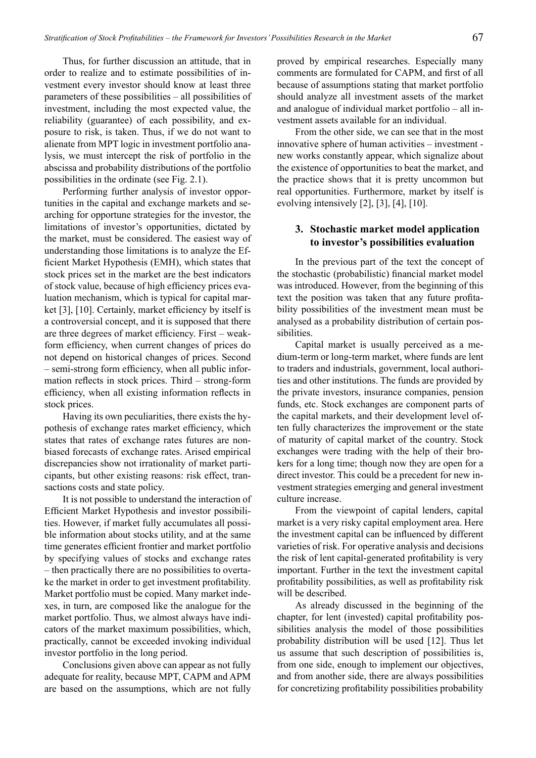Thus, for further discussion an attitude, that in order to realize and to estimate possibilities of investment every investor should know at least three parameters of these possibilities – all possibilities of investment, including the most expected value, the reliability (guarantee) of each possibility, and exposure to risk, is taken. Thus, if we do not want to alienate from MPT logic in investment portfolio analysis, we must intercept the risk of portfolio in the abscissa and probability distributions of the portfolio possibilities in the ordinate (see Fig. 2.1).

Performing further analysis of investor opportunities in the capital and exchange markets and searching for opportune strategies for the investor, the limitations of investor's opportunities, dictated by the market, must be considered. The easiest way of understanding those limitations is to analyze the Efficient Market Hypothesis (EMH), which states that stock prices set in the market are the best indicators of stock value, because of high efficiency prices evaluation mechanism, which is typical for capital market [3], [10]. Certainly, market efficiency by itself is a controversial concept, and it is supposed that there are three degrees of market efficiency. First – weakform efficiency, when current changes of prices do not depend on historical changes of prices. Second – semi-strong form efficiency, when all public information reflects in stock prices. Third – strong-form efficiency, when all existing information reflects in stock prices.

Having its own peculiarities, there exists the hypothesis of exchange rates market efficiency, which states that rates of exchange rates futures are nonbiased forecasts of exchange rates. Arised empirical discrepancies show not irrationality of market participants, but other existing reasons: risk effect, transactions costs and state policy.

It is not possible to understand the interaction of Efficient Market Hypothesis and investor possibilities. However, if market fully accumulates all possible information about stocks utility, and at the same time generates efficient frontier and market portfolio by specifying values of stocks and exchange rates – then practically there are no possibilities to overtake the market in order to get investment profitability. Market portfolio must be copied. Many market indexes, in turn, are composed like the analogue for the market portfolio. Thus, we almost always have indicators of the market maximum possibilities, which, practically, cannot be exceeded invoking individual investor portfolio in the long period.

Conclusions given above can appear as not fully adequate for reality, because MPT, CAPM and APM are based on the assumptions, which are not fully proved by empirical researches. Especially many comments are formulated for CAPM, and first of all because of assumptions stating that market portfolio should analyze all investment assets of the market and analogue of individual market portfolio – all investment assets available for an individual.

From the other side, we can see that in the most innovative sphere of human activities – investment new works constantly appear, which signalize about the existence of opportunities to beat the market, and the practice shows that it is pretty uncommon but real opportunities. Furthermore, market by itself is evolving intensively [2], [3], [4], [10].

### **3. Stochastic market model application to investor's possibilities evaluation**

In the previous part of the text the concept of the stochastic (probabilistic) financial market model was introduced. However, from the beginning of this text the position was taken that any future profitability possibilities of the investment mean must be analysed as a probability distribution of certain possibilities.

Capital market is usually perceived as a medium-term or long-term market, where funds are lent to traders and industrials, government, local authorities and other institutions. The funds are provided by the private investors, insurance companies, pension funds, etc. Stock exchanges are component parts of the capital markets, and their development level often fully characterizes the improvement or the state of maturity of capital market of the country. Stock exchanges were trading with the help of their brokers for a long time; though now they are open for a direct investor. This could be a precedent for new investment strategies emerging and general investment culture increase.

From the viewpoint of capital lenders, capital market is a very risky capital employment area. Here the investment capital can be influenced by different varieties of risk. For operative analysis and decisions the risk of lent capital-generated profitability is very important. Further in the text the investment capital profitability possibilities, as well as profitability risk will be described.

As already discussed in the beginning of the chapter, for lent (invested) capital profitability possibilities analysis the model of those possibilities probability distribution will be used [12]. Thus let us assume that such description of possibilities is, from one side, enough to implement our objectives, and from another side, there are always possibilities for concretizing profitability possibilities probability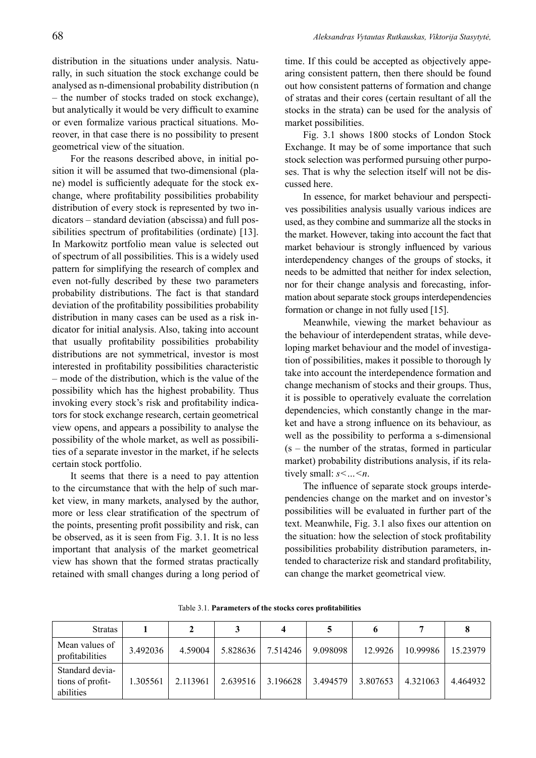distribution in the situations under analysis. Naturally, in such situation the stock exchange could be analysed as n-dimensional probability distribution (n – the number of stocks traded on stock exchange), but analytically it would be very difficult to examine or even formalize various practical situations. Moreover, in that case there is no possibility to present geometrical view of the situation.

For the reasons described above, in initial position it will be assumed that two-dimensional (plane) model is sufficiently adequate for the stock exchange, where profitability possibilities probability distribution of every stock is represented by two indicators – standard deviation (abscissa) and full possibilities spectrum of profitabilities (ordinate) [13]. In Markowitz portfolio mean value is selected out of spectrum of all possibilities. This is a widely used pattern for simplifying the research of complex and even not-fully described by these two parameters probability distributions. The fact is that standard deviation of the profitability possibilities probability distribution in many cases can be used as a risk indicator for initial analysis. Also, taking into account that usually profitability possibilities probability distributions are not symmetrical, investor is most interested in profitability possibilities characteristic – mode of the distribution, which is the value of the possibility which has the highest probability. Thus invoking every stock's risk and profitability indicators for stock exchange research, certain geometrical view opens, and appears a possibility to analyse the possibility of the whole market, as well as possibilities of a separate investor in the market, if he selects certain stock portfolio.

It seems that there is a need to pay attention to the circumstance that with the help of such market view, in many markets, analysed by the author, more or less clear stratification of the spectrum of the points, presenting profit possibility and risk, can be observed, as it is seen from Fig. 3.1. It is no less important that analysis of the market geometrical view has shown that the formed stratas practically retained with small changes during a long period of time. If this could be accepted as objectively appearing consistent pattern, then there should be found out how consistent patterns of formation and change of stratas and their cores (certain resultant of all the stocks in the strata) can be used for the analysis of market possibilities.

Fig. 3.1 shows 1800 stocks of London Stock Exchange. It may be of some importance that such stock selection was performed pursuing other purposes. That is why the selection itself will not be discussed here.

In essence, for market behaviour and perspectives possibilities analysis usually various indices are used, as they combine and summarize all the stocks in the market. However, taking into account the fact that market behaviour is strongly influenced by various interdependency changes of the groups of stocks, it needs to be admitted that neither for index selection, nor for their change analysis and forecasting, information about separate stock groups interdependencies formation or change in not fully used [15].

Meanwhile, viewing the market behaviour as the behaviour of interdependent stratas, while developing market behaviour and the model of investigation of possibilities, makes it possible to thorough ly take into account the interdependence formation and change mechanism of stocks and their groups. Thus, it is possible to operatively evaluate the correlation dependencies, which constantly change in the market and have a strong influence on its behaviour, as well as the possibility to performa a s-dimensional  $(s - the number of the stratas, formed in particular)$ market) probability distributions analysis, if its relatively small: *s<…<n*.

The influence of separate stock groups interdependencies change on the market and on investor's possibilities will be evaluated in further part of the text. Meanwhile, Fig. 3.1 also fixes our attention on the situation: how the selection of stock profitability possibilities probability distribution parameters, intended to characterize risk and standard profitability, can change the market geometrical view.

| <b>Stratas</b>                                   |          |          |          |          |          |          |          |          |
|--------------------------------------------------|----------|----------|----------|----------|----------|----------|----------|----------|
| Mean values of<br>profitabilities                | 3.492036 | 4.59004  | 5.828636 | 7.514246 | 9.098098 | 12.9926  | 10.99986 | 15.23979 |
| Standard devia-<br>tions of profit-<br>abilities | 1.305561 | 2.113961 | 2.639516 | 3.196628 | 3.494579 | 3.807653 | 4.321063 | 4.464932 |

Table 3.1. **Parameters of the stocks cores profitabilities**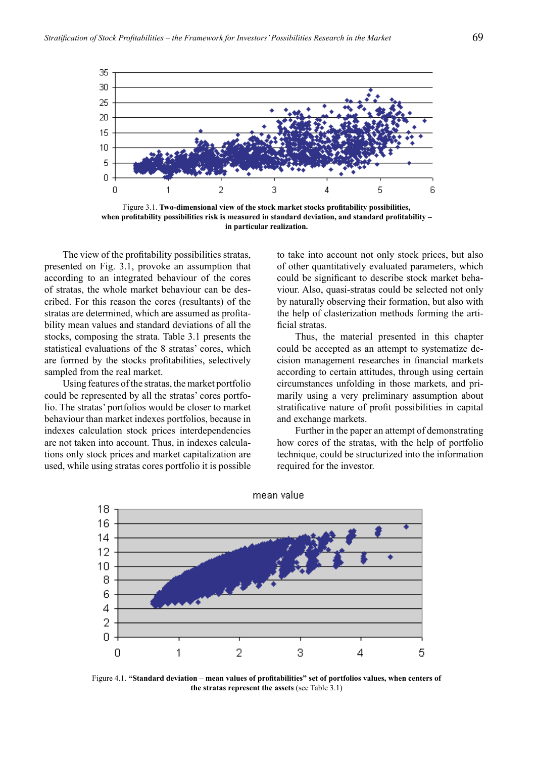

Figure 3.1. **Two-dimensional view of the stock market stocks profitability possibilities, when profitability possibilities risk is measured in standard deviation, and standard profitability – in particular realization.** 

The view of the profitability possibilities stratas, presented on Fig. 3.1, provoke an assumption that according to an integrated behaviour of the cores of stratas, the whole market behaviour can be described. For this reason the cores (resultants) of the stratas are determined, which are assumed as profitability mean values and standard deviations of all the stocks, composing the strata. Table 3.1 presents the statistical evaluations of the 8 stratas' cores, which are formed by the stocks profitabilities, selectively sampled from the real market.

Using features of the stratas, the market portfolio could be represented by all the stratas' cores portfolio. The stratas' portfolios would be closer to market behaviour than market indexes portfolios, because in indexes calculation stock prices interdependencies are not taken into account. Thus, in indexes calculations only stock prices and market capitalization are used, while using stratas cores portfolio it is possible to take into account not only stock prices, but also of other quantitatively evaluated parameters, which could be significant to describe stock market behaviour. Also, quasi-stratas could be selected not only by naturally observing their formation, but also with the help of clasterization methods forming the artificial stratas.

Thus, the material presented in this chapter could be accepted as an attempt to systematize decision management researches in financial markets according to certain attitudes, through using certain circumstances unfolding in those markets, and primarily using a very preliminary assumption about stratificative nature of profit possibilities in capital and exchange markets.

Further in the paper an attempt of demonstrating how cores of the stratas, with the help of portfolio technique, could be structurized into the information required for the investor.





Figure 4.1. **"Standard deviation – mean values of profitabilities" set of portfolios values, when centers of the stratas represent the assets** (see Table 3.1)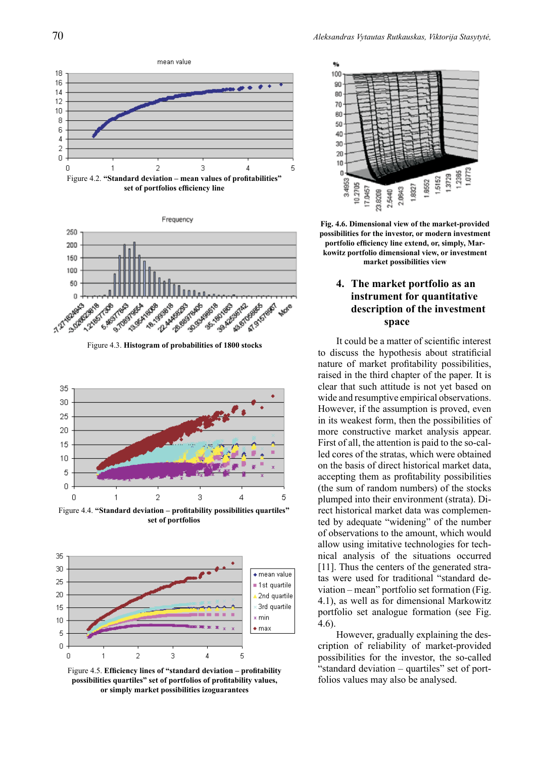



Figure 4.3. **Histogram of probabilities of 1800 stocks**



Figure 4.4. **"Standard deviation – profitability possibilities quartiles" set of portfolios**



Figure 4.5. **Efficiency lines of "standard deviation – profitability possibilities quartiles" set of portfolios of profitability values, or simply market possibilities izoguarantees**



**Fig. 4.6. Dimensional view of the market-provided possibilities for the investor, or modern investment portfolio efficiency line extend, or, simply, Markowitz portfolio dimensional view, or investment market possibilities view**

# **4. The market portfolio as an instrument for quantitative description of the investment space**

It could be a matter of scientific interest to discuss the hypothesis about stratificial nature of market profitability possibilities, raised in the third chapter of the paper. It is clear that such attitude is not yet based on wide and resumptive empirical observations. However, if the assumption is proved, even in its weakest form, then the possibilities of more constructive market analysis appear. First of all, the attention is paid to the so-called cores of the stratas, which were obtained on the basis of direct historical market data, accepting them as profitability possibilities (the sum of random numbers) of the stocks plumped into their environment (strata). Direct historical market data was complemented by adequate "widening" of the number of observations to the amount, which would allow using imitative technologies for technical analysis of the situations occurred [11]. Thus the centers of the generated stratas were used for traditional "standard deviation – mean" portfolio set formation (Fig. 4.1), as well as for dimensional Markowitz portfolio set analogue formation (see Fig. 4.6).

However, gradually explaining the description of reliability of market-provided possibilities for the investor, the so-called "standard deviation – quartiles" set of portfolios values may also be analysed.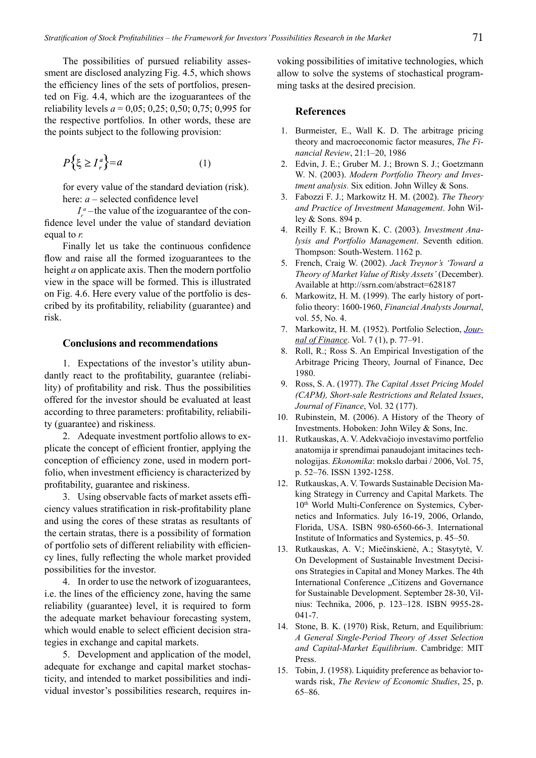The possibilities of pursued reliability assessment are disclosed analyzing Fig. 4.5, which shows the efficiency lines of the sets of portfolios, presented on Fig. 4.4, which are the izoguarantees of the reliability levels  $a = 0.05$ ; 0,25; 0,50; 0,75; 0,995 for the respective portfolios. In other words, these are the points subject to the following provision:

$$
P\{\xi \ge I_r^a\} = a \tag{1}
$$

for every value of the standard deviation (risk). here: *a* – selected confidence level

 $I_r^a$  –the value of the izoguarantee of the confidence level under the value of standard deviation equal to *r.*

Finally let us take the continuous confidence flow and raise all the formed izoguarantees to the height *a* on applicate axis. Then the modern portfolio view in the space will be formed. This is illustrated on Fig. 4.6. Here every value of the portfolio is described by its profitability, reliability (guarantee) and risk.

#### **Conclusions and recommendations**

1. Expectations of the investor's utility abundantly react to the profitability, guarantee (reliability) of profitability and risk. Thus the possibilities offered for the investor should be evaluated at least according to three parameters: profitability, reliability (guarantee) and riskiness.

2. Adequate investment portfolio allows to explicate the concept of efficient frontier, applying the conception of efficiency zone, used in modern portfolio, when investment efficiency is characterized by profitability, guarantee and riskiness.

3. Using observable facts of market assets efficiency values stratification in risk-profitability plane and using the cores of these stratas as resultants of the certain stratas, there is a possibility of formation of portfolio sets of different reliability with efficiency lines, fully reflecting the whole market provided possibilities for the investor.

4. In order to use the network of izoguarantees, i.e. the lines of the efficiency zone, having the same reliability (guarantee) level, it is required to form the adequate market behaviour forecasting system, which would enable to select efficient decision strategies in exchange and capital markets.

5. Development and application of the model, adequate for exchange and capital market stochasticity, and intended to market possibilities and individual investor's possibilities research, requires invoking possibilities of imitative technologies, which allow to solve the systems of stochastical programming tasks at the desired precision.

#### **References**

- 1. Burmeister, E., Wall K. D. The arbitrage pricing theory and macroeconomic factor measures, *The Financial Review*, 21:1–20, 1986
- 2. Edvin, J. E.; Gruber M. J.; Brown S. J.; Goetzmann W. N. (2003). *Modern Portfolio Theory and Investment analysis.* Six edition. John Willey & Sons.
- 3. Fabozzi F. J.; Markowitz H. M. (2002). *The Theory and Practice of Investment Management*. John Willey & Sons. 894 p.
- 4. Reilly F. K.; Brown K. C. (2003). *Investment Analysis and Portfolio Management*. Seventh edition. Thompson: South-Western. 1162 p.
- 5. French, Craig W. (2002). *Jack Treynor's 'Toward a Theory of Market Value of Risky Assets'* (December). Available at http://ssrn.com/abstract=628187
- 6. Markowitz, H. M. (1999). The early history of portfolio theory: 1600-1960, *Financial Analysts Journal*, vol. 55, No. 4.
- 7. Markowitz, H. M. (1952). Portfolio Selection, *Journal of Finance*. Vol. 7 (1), p. 77–91.
- 8. Roll, R.; Ross S. An Empirical Investigation of the Arbitrage Pricing Theory, Journal of Finance, Dec 1980.
- 9. Ross, S. A. (1977). *The Capital Asset Pricing Model (CAPM), Short-sale Restrictions and Related Issues*, *Journal of Finance*, Vol. 32 (177).
- 10. Rubinstein, M. (2006). A History of the Theory of Investments. Hoboken: John Wiley & Sons, Inc.
- 11. Rutkauskas, A. V. Adekvačiojo investavimo portfelio anatomija ir sprendimai panaudojant imitacines technologijas. *Ekonomika*: mokslo darbai / 2006, Vol. 75, p. 52–76. ISSN 1392-1258.
- 12. Rutkauskas, A. V. Towards Sustainable Decision Making Strategy in Currency and Capital Markets. The 10th World Multi-Conference on Systemics, Cybernetics and Informatics. July 16-19, 2006, Orlando, Florida, USA. ISBN 980-6560-66-3. International Institute of Informatics and Systemics, p. 45–50.
- 13. Rutkauskas, A. V.; Miečinskienė, A.; Stasytytė, V. On Development of Sustainable Investment Decisions Strategies in Capital and Money Markes. The 4th International Conference "Citizens and Governance for Sustainable Development. September 28-30, Vilnius: Technika, 2006, p. 123–128. ISBN 9955-28- 041-7.
- 14. Stone, B. K. (1970) Risk, Return, and Equilibrium: *A General Single-Period Theory of Asset Selection and Capital-Market Equilibrium*. Cambridge: MIT Press.
- 15. Tobin, J. (1958). Liquidity preference as behavior towards risk, *The Review of Economic Studies*, 25, p. 65–86.